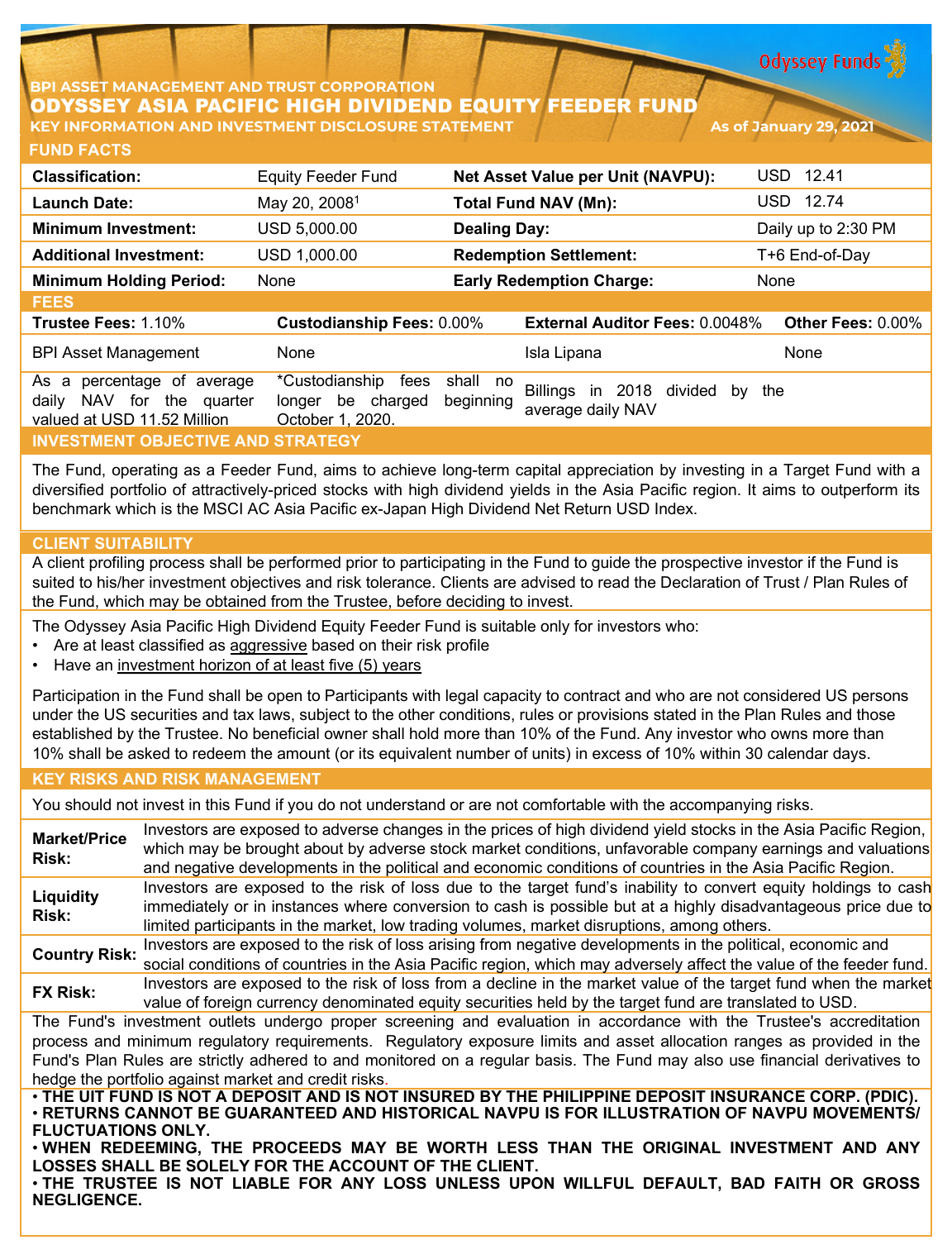**Odyssey Funds** 

## **PI ASSET MANAGEMENT AND TRUST CORPORATION** ODYSSEY ASIA PACIFIC HIGH DIVIDEND EQUITY FEEDER FUND **KEY INFORMATION AND INVESTMENT DISCLOSURE STATEMENT As of January 29, 2021**

| <b>FUND FACTS</b>                                                                                  |                                                                    |                                                                        |                          |
|----------------------------------------------------------------------------------------------------|--------------------------------------------------------------------|------------------------------------------------------------------------|--------------------------|
| <b>Classification:</b>                                                                             | <b>Equity Feeder Fund</b>                                          | <b>Net Asset Value per Unit (NAVPU):</b>                               | USD 12.41                |
| <b>Launch Date:</b>                                                                                | May 20, 2008 <sup>1</sup>                                          | <b>Total Fund NAV (Mn):</b>                                            | USD 12.74                |
| <b>Minimum Investment:</b>                                                                         | USD 5,000.00                                                       | <b>Dealing Day:</b>                                                    | Daily up to 2:30 PM      |
| <b>Additional Investment:</b>                                                                      | USD 1,000.00                                                       | <b>Redemption Settlement:</b>                                          | T+6 End-of-Day           |
| <b>Minimum Holding Period:</b>                                                                     | None                                                               | <b>Early Redemption Charge:</b>                                        | None                     |
| <b>FEES</b>                                                                                        |                                                                    |                                                                        |                          |
| Trustee Fees: 1.10%                                                                                | <b>Custodianship Fees: 0.00%</b>                                   | External Auditor Fees: 0.0048%                                         | <b>Other Fees: 0.00%</b> |
| <b>BPI Asset Management</b>                                                                        | None                                                               | Isla Lipana                                                            | None                     |
| percentage of<br>As a<br>average<br>NAV for<br>daily<br>the quarter<br>valued at USD 11.52 Million | *Custodianship<br>fees<br>be charged<br>longer<br>October 1, 2020. | shall no<br>Billings in 2018 divided<br>beginning<br>average daily NAV | the<br>by                |
| <b>INVESTMENT OBJECTIVE AND STRATEGY</b>                                                           |                                                                    |                                                                        |                          |

The Fund, operating as a Feeder Fund, aims to achieve long-term capital appreciation by investing in a Target Fund with a diversified portfolio of attractively-priced stocks with high dividend yields in the Asia Pacific region. It aims to outperform its benchmark which is the MSCI AC Asia Pacific ex-Japan High Dividend Net Return USD Index.

## **CLIENT SUITABILITY**

A client profiling process shall be performed prior to participating in the Fund to guide the prospective investor if the Fund is suited to his/her investment objectives and risk tolerance. Clients are advised to read the Declaration of Trust / Plan Rules of the Fund, which may be obtained from the Trustee, before deciding to invest.

The Odyssey Asia Pacific High Dividend Equity Feeder Fund is suitable only for investors who:

- Are at least classified as aggressive based on their risk profile
- Have an investment horizon of at least five (5) years

Participation in the Fund shall be open to Participants with legal capacity to contract and who are not considered US persons under the US securities and tax laws, subject to the other conditions, rules or provisions stated in the Plan Rules and those established by the Trustee. No beneficial owner shall hold more than 10% of the Fund. Any investor who owns more than 10% shall be asked to redeem the amount (or its equivalent number of units) in excess of 10% within 30 calendar days.

### **KEY RISKS AND RISK MANAGEMENT**

You should not invest in this Fund if you do not understand or are not comfortable with the accompanying risks.

**Market/Price Risk:** Investors are exposed to adverse changes in the prices of high dividend yield stocks in the Asia Pacific Region, which may be brought about by adverse stock market conditions, unfavorable company earnings and valuations and negative developments in the political and economic conditions of countries in the Asia Pacific Region. **Liquidity Risk:** Investors are exposed to the risk of loss due to the target fund's inability to convert equity holdings to cash immediately or in instances where conversion to cash is possible but at a highly disadvantageous price due to limited participants in the market, low trading volumes, market disruptions, among others. **Country Risk:** Investors are exposed to the risk of loss arising from negative developments in the political, economic and social conditions of countries in the Asia Pacific region, which may adversely affect the value of the feeder fund. **FX Risk:** Investors are exposed to the risk of loss from a decline in the market value of the target fund when the market value of foreign currency denominated equity securities held by the target fund are translated to USD. The Fund's investment outlets undergo proper screening and evaluation in accordance with the Trustee's accreditation process and minimum regulatory requirements. Regulatory exposure limits and asset allocation ranges as provided in the Fund's Plan Rules are strictly adhered to and monitored on a regular basis. The Fund may also use financial derivatives to hedge the portfolio against market and credit risks. . THE UIT FUND IS NOT A DEPOSIT AND IS NOT INSURED BY THE PHILIPPINE DEPOSIT INSURANCE CORP. (PDIC) • **RETURNS CANNOT BE GUARANTEED AND HISTORICAL NAVPU IS FOR ILLUSTRATION OF NAVPU MOVEMENTS/ FLUCTUATIONS ONLY.**

• **WHEN REDEEMING, THE PROCEEDS MAY BE WORTH LESS THAN THE ORIGINAL INVESTMENT AND ANY LOSSES SHALL BE SOLELY FOR THE ACCOUNT OF THE CLIENT.**

• **THE TRUSTEE IS NOT LIABLE FOR ANY LOSS UNLESS UPON WILLFUL DEFAULT, BAD FAITH OR GROSS NEGLIGENCE.**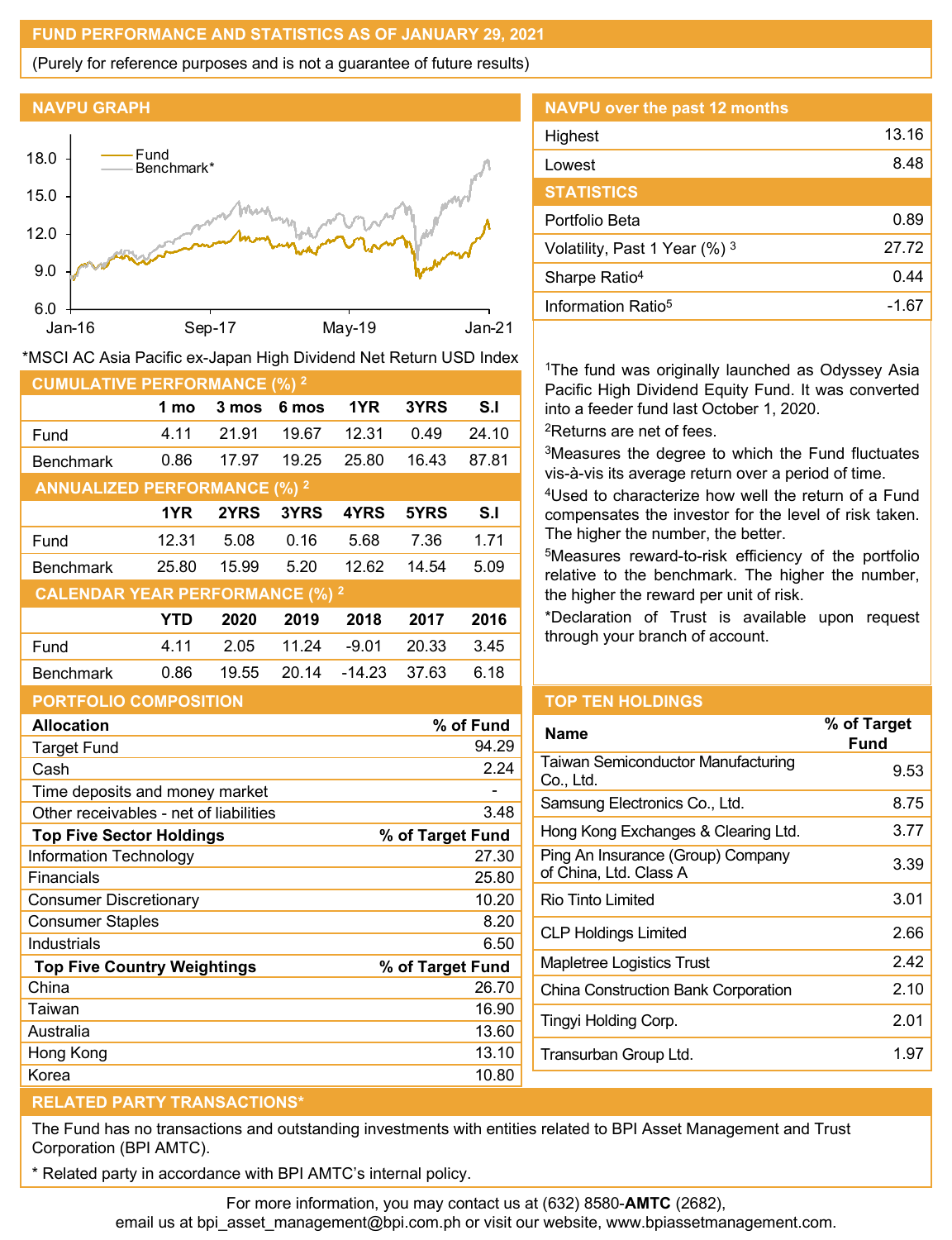## **FUND PERFORMANCE AND STATISTICS AS OF JANUARY 29, 2021**

(Purely for reference purposes and is not a guarantee of future results)





|  | *MSCI AC Asia Pacific ex-Japan High Dividend Net Return USD Index |  |
|--|-------------------------------------------------------------------|--|
|--|-------------------------------------------------------------------|--|

| <b>CUMULATIVE PERFORMANCE (%) 2</b>    |       |       |       |          |       |       |
|----------------------------------------|-------|-------|-------|----------|-------|-------|
|                                        | 1 mo  | 3 mos | 6 mos | 1YR      | 3YRS  | S.I   |
| Fund                                   | 4.11  | 21.91 | 19.67 | 12.31    | 0.49  | 24.10 |
| <b>Benchmark</b>                       | 0.86  | 17.97 | 19.25 | 25.80    | 16.43 | 87.81 |
| <b>ANNUALIZED PERFORMANCE (%) 2</b>    |       |       |       |          |       |       |
|                                        | 1YR   | 2YRS  | 3YRS  | 4YRS     | 5YRS  | S.I   |
| Fund                                   | 12.31 | 5.08  | 0.16  | 5.68     | 7.36  | 1.71  |
| <b>Benchmark</b>                       | 25.80 | 15.99 | 5.20  | 12.62    | 14.54 | 5.09  |
| <b>CALENDAR YEAR PERFORMANCE (%) 2</b> |       |       |       |          |       |       |
|                                        | YTD   | 2020  | 2019  | 2018     | 2017  | 2016  |
| Fund                                   | 4.11  | 2.05  | 11.24 | $-9.01$  | 20.33 | 3.45  |
| <b>Benchmark</b>                       | 0.86  | 19.55 | 20.14 | $-14.23$ | 37.63 | 6.18  |
| <b>PORTFOLIO COMPOSITION</b>           |       |       |       |          |       |       |

| <b>NAVPU over the past 12 months</b> |       |
|--------------------------------------|-------|
| Highest                              | 13.16 |
| Lowest                               | 8.48  |
| <b>STATISTICS</b>                    |       |
| Portfolio Beta                       | 0.89  |
| Volatility, Past 1 Year (%) 3        | 27.72 |
| Sharpe Ratio <sup>4</sup>            | 0.44  |
| Information Ratio <sup>5</sup>       | -1.67 |

<sup>1</sup>The fund was originally launched as Odyssey Asia Pacific High Dividend Equity Fund. It was converted into a feeder fund last October 1, 2020.

2Returns are net of fees.

3Measures the degree to which the Fund fluctuates vis-à-vis its average return over a period of time.

4Used to characterize how well the return of a Fund compensates the investor for the level of risk taken. The higher the number, the better.

5Measures reward-to-risk efficiency of the portfolio relative to the benchmark. The higher the number, the higher the reward per unit of risk.

\*Declaration of Trust is available upon request through your branch of account.

| <b>Allocation</b>                      | % of Fund        |
|----------------------------------------|------------------|
| <b>Target Fund</b>                     | 94.29            |
| Cash                                   | 2.24             |
| Time deposits and money market         |                  |
| Other receivables - net of liabilities | 3.48             |
| <b>Top Five Sector Holdings</b>        | % of Target Fund |
| <b>Information Technology</b>          | 27.30            |
| Financials                             | 25.80            |
| Consumer Discretionary                 | 10.20            |
| <b>Consumer Staples</b>                | 8.20             |
| Industrials                            | 6.50             |
| <b>Top Five Country Weightings</b>     | % of Target Fund |
| China                                  | 26.70            |
| Taiwan                                 | 16.90            |
| Australia                              | 13.60            |
| Hong Kong                              | 13.10            |
| Korea                                  | 10.80            |

# **TOP TEN HOLDINGS**

| <b>Name</b>                                                 | % of Target<br><b>Fund</b> |
|-------------------------------------------------------------|----------------------------|
| <b>Taiwan Semiconductor Manufacturing</b><br>Co., Ltd.      | 9.53                       |
| Samsung Electronics Co., Ltd.                               | 8.75                       |
| Hong Kong Exchanges & Clearing Ltd.                         | 3.77                       |
| Ping An Insurance (Group) Company<br>of China, Ltd. Class A | 3.39                       |
| Rio Tinto Limited                                           | 3.01                       |
| <b>CLP Holdings Limited</b>                                 | 2.66                       |
| Mapletree Logistics Trust                                   | 242                        |
| China Construction Bank Corporation                         | 2.10                       |
| Tingyi Holding Corp.                                        | 2.01                       |
| Transurban Group Ltd.                                       | 1.97                       |
|                                                             |                            |

# **RELATED PARTY TRANSACTIONS\***

The Fund has no transactions and outstanding investments with entities related to BPI Asset Management and Trust Corporation (BPI AMTC).

Related party in accordance with BPI AMTC's internal policy.

For more information, you may contact us at (632) 8580-**AMTC** (2682), email us at bpi\_asset\_management@bpi.com.ph or visit our website, www.bpiassetmanagement.com.